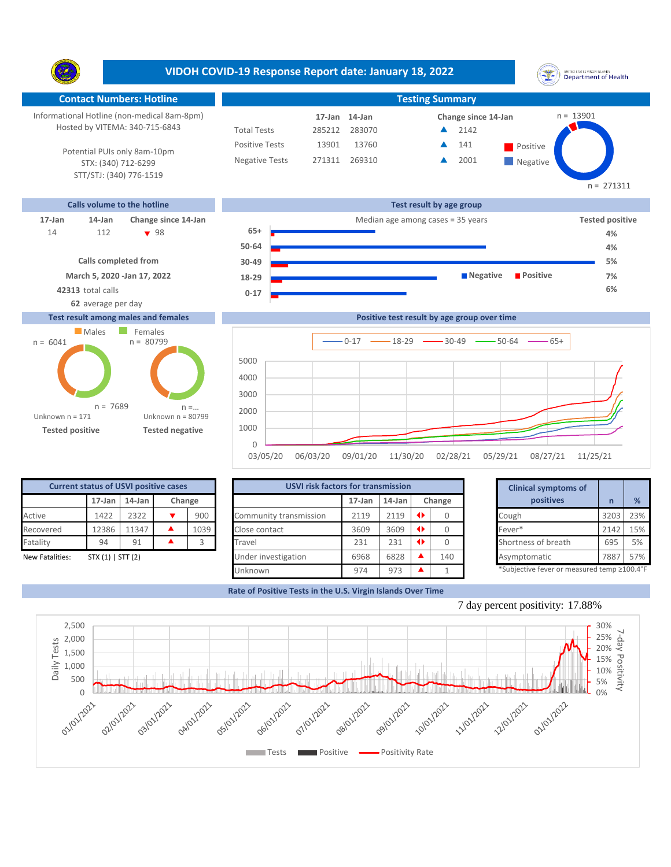**VIDOH COVID-19 Response Report date: January 18, 2022** UNITED STATES VIRGIN SLANDS<br>Department of Health Y. **Contact Numbers: Hotline Testing Summary** Informational Hotline (non-medical 8am-8pm) n = 13901 **17-Jan Change since 14-Jan 14-Jan** Hosted by VITEMA: 340-715-6843 Total Tests 285212 283070 2142 ▲ Positive Tests 13901 13760 **A** 141 **Positive** 141  $\blacktriangle$ Potential PUIs only 8am-10pm Negative Tests 271311 269310 ▲ 2001 ▲ **Negative** STX: (340) 712-6299 STT/STJ: (340) 776-1519 n = 271311 **Calls volume to the hotline Test result by age group 17-Jan 14-Jan Change since 14-Jan** Median age among cases = 35 years **Tested positive 65+** 112 **v** 98 14 **4% 50-64 4% Calls completed from 5% 30-49 March 5, 2020 -Jan 17, 2022 Negative Positive 7% 18-29 42313** total calls **6% 0-17 62** average per day **Test result among males and females**





| <b>Current status of USVI positive cases</b> |            |        |     |        |  |  |  |  |  |  |  |
|----------------------------------------------|------------|--------|-----|--------|--|--|--|--|--|--|--|
|                                              | $17 - Jan$ | 14-Jan |     | Change |  |  |  |  |  |  |  |
| Active                                       | 1422       | 2322   | 900 |        |  |  |  |  |  |  |  |
| Recovered                                    | 12386      | 11347  |     | 1039   |  |  |  |  |  |  |  |
| Fatality                                     | 94         | 91     |     |        |  |  |  |  |  |  |  |
| STX $(1)$   STT $(2)$<br>New Fatalities:     |            |        |     |        |  |  |  |  |  |  |  |

| <b>Current status of USVI positive cases</b> |                     |        |  |        | <b>USVI risk factors for transmission</b> |           |        |        | <b>Clinical symptoms of</b>                |      |     |  |
|----------------------------------------------|---------------------|--------|--|--------|-------------------------------------------|-----------|--------|--------|--------------------------------------------|------|-----|--|
|                                              | $17$ -Jan           | 14-Jan |  | Change |                                           | $17$ -Jan | 14-Jan | Change | positives                                  |      | %   |  |
| Active                                       | 1422                | 2322   |  | 900    | Community transmission                    | 2119      | 2119   |        | Cough                                      | 3203 | 23% |  |
| Recovered                                    | 12386               | 11347  |  | 1039   | Close contact                             | 3609      | 3609   |        | Fever*                                     | 2142 | 15% |  |
| Fatality                                     | 94                  | 91     |  |        | Travel                                    | 231       | 231    |        | Shortness of breath                        | 695  | 5%  |  |
| New Fatalities:                              | $STX(1)$   $STT(2)$ |        |  |        | Under investigation                       | 6968      | 6828   | 140    | Asymptomatic                               | 7887 | 57% |  |
|                                              |                     |        |  |        | Unknown                                   | 974       | 973    |        | *Subjective fever or measured temp ≥100.4° |      |     |  |

|        | for transmission |                 |        | <b>Clinical symptoms of</b>                 |      |     |  |  |
|--------|------------------|-----------------|--------|---------------------------------------------|------|-----|--|--|
| 17-Jan | $14$ -Jan        |                 | Change | positives                                   |      |     |  |  |
| 2119   | 2119             | $\blacklozenge$ |        | Cough                                       | 3203 | 23% |  |  |
| 3609   | 3609             | $\blacklozenge$ |        | Fever*                                      | 2142 | 15% |  |  |
| 231    | 231              | O.              |        | Shortness of breath                         | 695  |     |  |  |
| 6968   | 6828             |                 | 140    | Asymptomatic                                | 7887 | 57% |  |  |
| 974    | 973              |                 |        | *Subjective fever or measured temp ≥100.4°F |      |     |  |  |

**Rate of Positive Tests in the U.S. Virgin Islands Over Time**